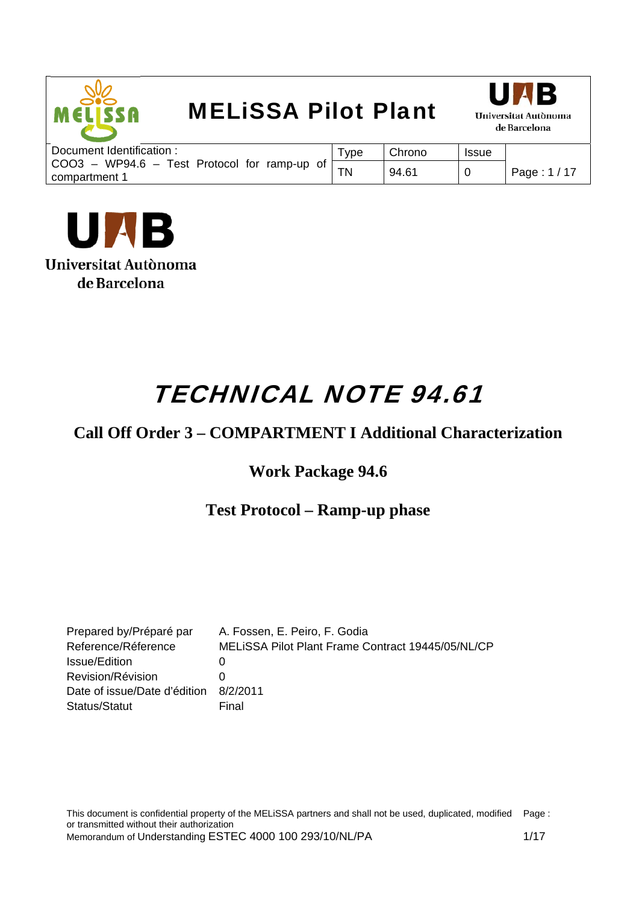



| Document Identification:                                              | <b>VDE</b> | Chrono | <b>Issue</b> |              |
|-----------------------------------------------------------------------|------------|--------|--------------|--------------|
| $COO3 - WP94.6 -$<br>Test Protocol for ramp-up<br>of<br>compartment 1 | <b>TN</b>  | 94.61  |              | Page: 1 / 17 |



# TECHNICAL NOTE 94.61

### **Call Off Order 3 – COMPARTMENT I Additional Characterization**

### **Work Package 94.6**

### **Test Protocol – Ramp-up phase**

| Prepared by/Préparé par      | A. Fossen, E. Peiro, F. Godia                     |
|------------------------------|---------------------------------------------------|
| Reference/Réference          | MELISSA Pilot Plant Frame Contract 19445/05/NL/CP |
| Issue/Edition                |                                                   |
| Revision/Révision            |                                                   |
| Date of issue/Date d'édition | 8/2/2011                                          |
| Status/Statut                | Final                                             |

This document is confidential property of the MELiSSA partners and shall not be used, duplicated, modified Page : or transmitted without their authorization Memorandum of Understanding ESTEC 4000 100 293/10/NL/PA 1/17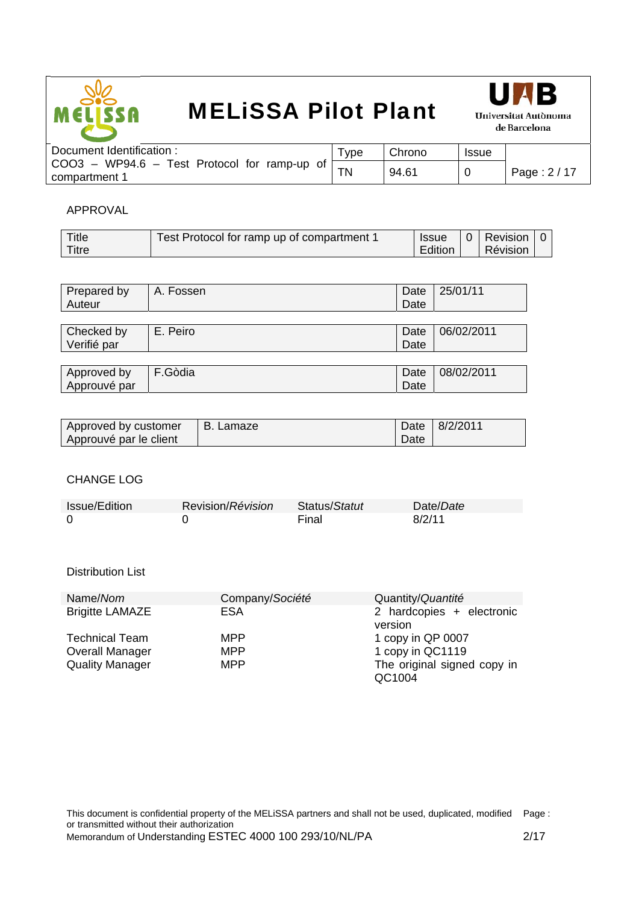



| Document Identification :                                          | vpe <sup>-</sup> | Chrono | <b>Issue</b> |              |
|--------------------------------------------------------------------|------------------|--------|--------------|--------------|
| Test Protocol for ramp-up of [<br>COO3 – WP94.6 –<br>compartment 1 | <b>TN</b>        | 94.61  |              | Page: $2/17$ |
|                                                                    |                  |        |              |              |

#### APPROVAL

| Title | Test Protocol for ramp up of compartment 1 | <b>Issue</b> | 0   Revision |  |
|-------|--------------------------------------------|--------------|--------------|--|
| Titre |                                            | Edition      | Révision     |  |

| Prepared by<br>Auteur | A. Fossen | Date<br>Date | 25/01/11   |
|-----------------------|-----------|--------------|------------|
|                       |           |              |            |
| Checked by            | E. Peiro  | Date         | 06/02/2011 |
| Verifié par           |           | Date         |            |
|                       |           |              |            |
| Approved by           | F.Gòdia   | Date         | 08/02/2011 |
| Approuvé par          |           | Date         |            |

| Approved by customer   | B. Lamaze |      | Date 8/2/2011 |
|------------------------|-----------|------|---------------|
| Approuvé par le client |           | Date |               |

#### CHANGE LOG

| Issue/Edition | Revision/Révision | Status/Statut | Date/Date |
|---------------|-------------------|---------------|-----------|
|               |                   | Final         | 8/2/11    |

#### Distribution List

| Name/Nom               | Company/Société | Quantity/Quantité                    |
|------------------------|-----------------|--------------------------------------|
| <b>Brigitte LAMAZE</b> | ESA             | 2 hardcopies + electronic<br>version |
|                        |                 |                                      |
| <b>Technical Team</b>  | <b>MPP</b>      | 1 copy in QP 0007                    |
| <b>Overall Manager</b> | <b>MPP</b>      | 1 copy in QC1119                     |
| <b>Quality Manager</b> | <b>MPP</b>      | The original signed copy in          |
|                        |                 | QC1004                               |

This document is confidential property of the MELiSSA partners and shall not be used, duplicated, modified Page : or transmitted without their authorization Memorandum of Understanding ESTEC 4000 100 293/10/NL/PA 2/17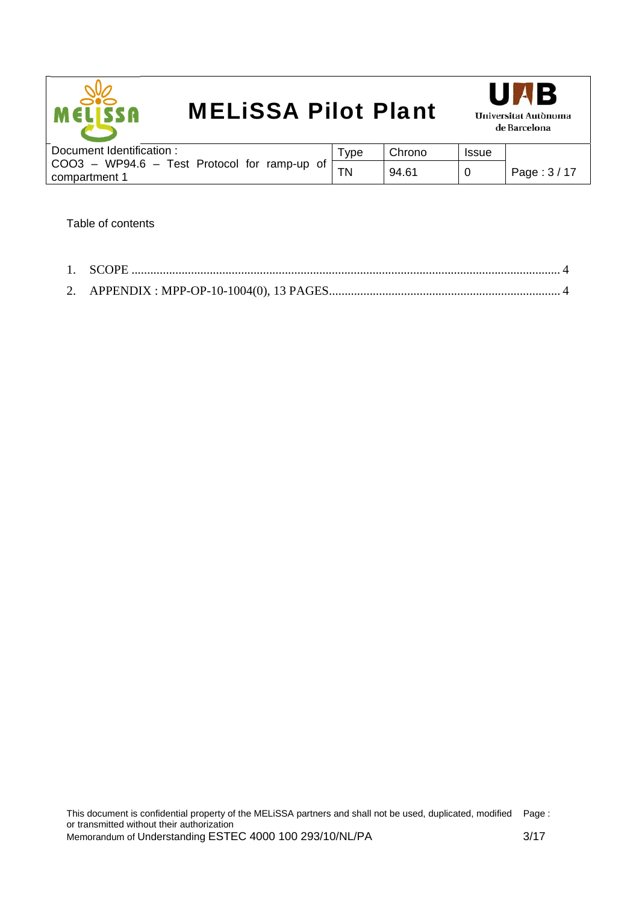



| Document Identification:                                                                    | -ype | Chrono | <b>Issue</b> |              |
|---------------------------------------------------------------------------------------------|------|--------|--------------|--------------|
| WP94.6<br>COO3<br>Test Protocol for<br>namp-up<br>of.<br>$\overline{\phantom{a}}$<br>$\sim$ | ΤN   | 94.61  | 0            | Page: $3/17$ |
| compartment 1                                                                               |      |        |              |              |

Table of contents